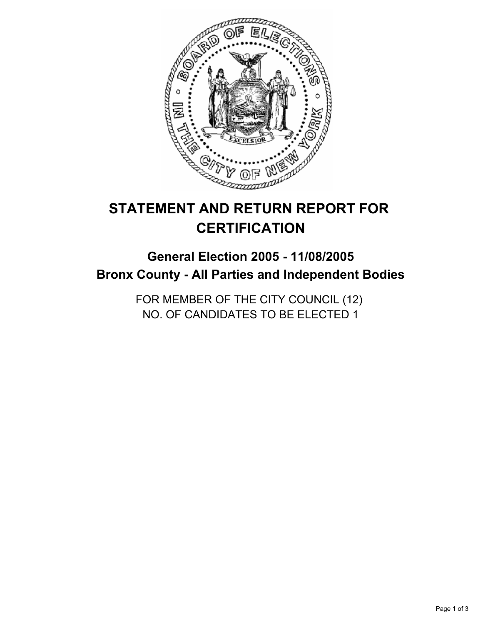

# **STATEMENT AND RETURN REPORT FOR CERTIFICATION**

# **General Election 2005 - 11/08/2005 Bronx County - All Parties and Independent Bodies**

FOR MEMBER OF THE CITY COUNCIL (12) NO. OF CANDIDATES TO BE ELECTED 1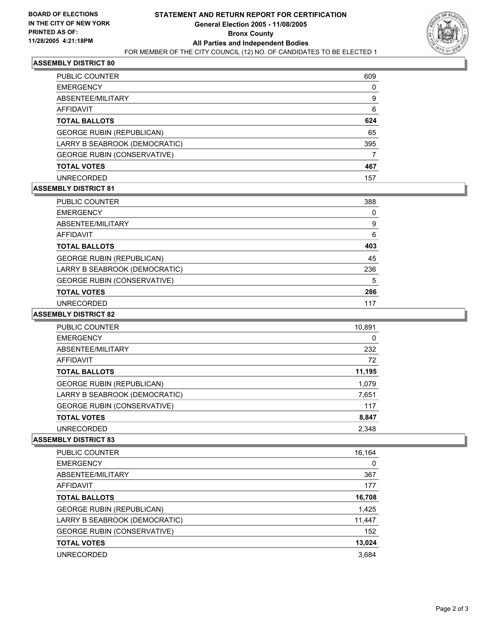

# **ASSEMBLY DISTRICT 80**

| PUBLIC COUNTER                     | 609 |  |
|------------------------------------|-----|--|
| <b>EMERGENCY</b>                   |     |  |
| ABSENTEE/MILITARY                  | 9   |  |
| AFFIDAVIT                          | 6   |  |
| <b>TOTAL BALLOTS</b>               | 624 |  |
| <b>GEORGE RUBIN (REPUBLICAN)</b>   | 65  |  |
| LARRY B SEABROOK (DEMOCRATIC)      | 395 |  |
| <b>GEORGE RUBIN (CONSERVATIVE)</b> |     |  |
| <b>TOTAL VOTES</b>                 | 467 |  |
| UNRECORDED                         | 157 |  |

#### **ASSEMBLY DISTRICT 81**

| <b>PUBLIC COUNTER</b>              | 388 |  |
|------------------------------------|-----|--|
| <b>EMERGENCY</b>                   | 0   |  |
| ABSENTEE/MILITARY                  | 9   |  |
| AFFIDAVIT                          | 6   |  |
| <b>TOTAL BALLOTS</b>               | 403 |  |
| <b>GEORGE RUBIN (REPUBLICAN)</b>   | 45  |  |
| LARRY B SEABROOK (DEMOCRATIC)      | 236 |  |
| <b>GEORGE RUBIN (CONSERVATIVE)</b> | 5   |  |
| <b>TOTAL VOTES</b>                 | 286 |  |
| <b>UNRECORDED</b>                  | 117 |  |

#### **ASSEMBLY DISTRICT 82**

| PUBLIC COUNTER                     | 10,891 |  |
|------------------------------------|--------|--|
| <b>EMERGENCY</b>                   | 0      |  |
| ABSENTEE/MILITARY                  | 232    |  |
| AFFIDAVIT                          | 72     |  |
| <b>TOTAL BALLOTS</b>               | 11,195 |  |
| <b>GEORGE RUBIN (REPUBLICAN)</b>   | 1,079  |  |
| LARRY B SEABROOK (DEMOCRATIC)      | 7,651  |  |
| <b>GEORGE RUBIN (CONSERVATIVE)</b> | 117    |  |
| <b>TOTAL VOTES</b>                 | 8,847  |  |
| <b>UNRECORDED</b>                  | 2,348  |  |

# **ASSEMBLY DISTRICT 83**

| PUBLIC COUNTER                     | 16,164 |
|------------------------------------|--------|
| <b>EMERGENCY</b>                   | 0      |
| ABSENTEE/MILITARY                  | 367    |
| AFFIDAVIT                          | 177    |
| <b>TOTAL BALLOTS</b>               | 16,708 |
| <b>GEORGE RUBIN (REPUBLICAN)</b>   | 1,425  |
| LARRY B SEABROOK (DEMOCRATIC)      | 11,447 |
| <b>GEORGE RUBIN (CONSERVATIVE)</b> | 152    |
| <b>TOTAL VOTES</b>                 | 13,024 |
| UNRECORDED                         | 3.684  |